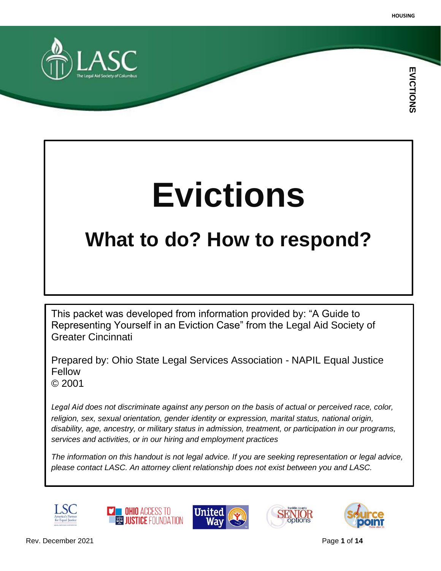

# **Evictions**

# **What to do? How to respond?**

This packet was developed from information provided by: "A Guide to Representing Yourself in an Eviction Case" from the Legal Aid Society of Greater Cincinnati

Prepared by: Ohio State Legal Services Association - NAPIL Equal Justice Fellow © 2001

*Legal Aid does not discriminate against any person on the basis of actual or perceived race, color, religion, sex, sexual orientation, gender identity or expression, marital status, national origin, disability, age, ancestry, or military status in admission, treatment, or participation in our programs, services and activities, or in our hiring and employment practices*

*The information on this handout is not legal advice. If you are seeking representation or legal advice, please contact LASC. An attorney client relationship does not exist between you and LASC.*









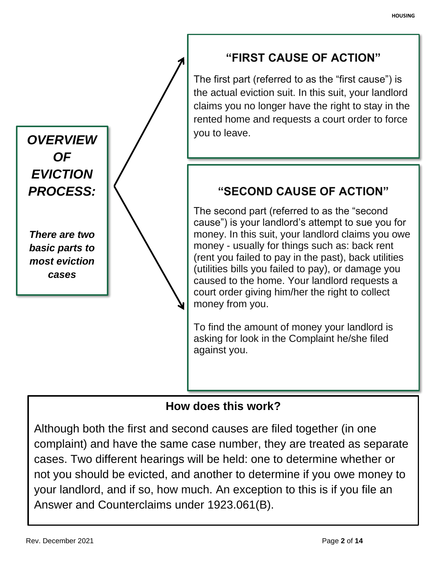

## **How does this work?**

Although both the first and second causes are filed together (in one complaint) and have the same case number, they are treated as separate cases. Two different hearings will be held: one to determine whether or not you should be evicted, and another to determine if you owe money to your landlord, and if so, how much. An exception to this is if you file an Answer and Counterclaims under 1923.061(B).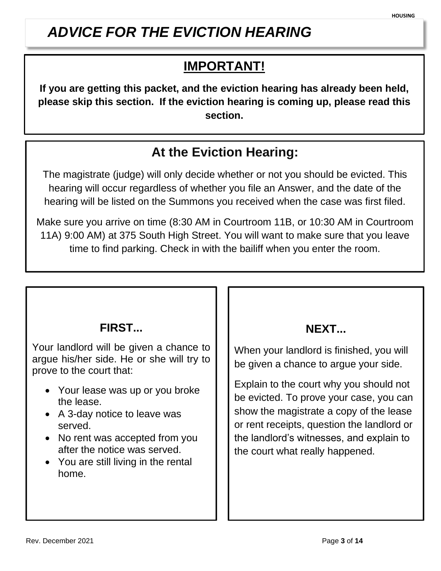# *ADVICE FOR THE EVICTION HEARING*

# **IMPORTANT!**

**If you are getting this packet, and the eviction hearing has already been held, please skip this section. If the eviction hearing is coming up, please read this section.**

# **At the Eviction Hearing:**

The magistrate (judge) will only decide whether or not you should be evicted. This hearing will occur regardless of whether you file an Answer, and the date of the hearing will be listed on the Summons you received when the case was first filed.

Make sure you arrive on time (8:30 AM in Courtroom 11B, or 10:30 AM in Courtroom 11A) 9:00 AM) at 375 South High Street. You will want to make sure that you leave time to find parking. Check in with the bailiff when you enter the room.

Make sure  $\mathcal{A}$  arrive on time (9:00 AM) for your hearing in  $\mathcal{A}$  at 3755  $\mathcal{A}$  at 3755  $\mathcal{A}$  at 3755  $\mathcal{A}$ South High Street. Check in with the bailiff when you enter the room.

## **FIRST...**

Your landlord will be given a chance to argue his/her side. He or she will try to prove to the court that:

- Your lease was up or you broke the lease.
- A 3-day notice to leave was served.
- No rent was accepted from you after the notice was served.
- You are still living in the rental home.

## **NEXT...**

When your landlord is finished, you will be given a chance to argue your side.

Explain to the court why you should not be evicted. To prove your case, you can show the magistrate a copy of the lease or rent receipts, question the landlord or the landlord's witnesses, and explain to the court what really happened.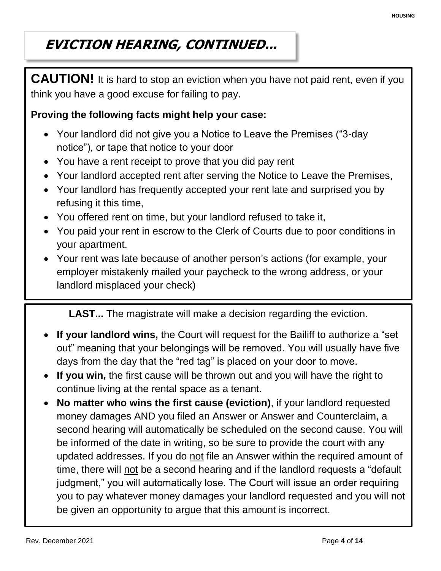# **EVICTION HEARING, CONTINUED...**

**CAUTION!** It is hard to stop an eviction when you have not paid rent, even if you think you have a good excuse for failing to pay.

#### **Proving the following facts might help your case:**

- Your landlord did not give you a Notice to Leave the Premises ("3-day notice"), or tape that notice to your door
- You have a rent receipt to prove that you did pay rent
- Your landlord accepted rent after serving the Notice to Leave the Premises,
- Your landlord has frequently accepted your rent late and surprised you by refusing it this time,
- You offered rent on time, but your landlord refused to take it,
- You paid your rent in escrow to the Clerk of Courts due to poor conditions in your apartment.
- Your rent was late because of another person's actions (for example, your employer mistakenly mailed your paycheck to the wrong address, or your landlord misplaced your check)

**LAST...** The magistrate will make a decision regarding the eviction.

- **If your landlord wins,** the Court will request for the Bailiff to authorize a "set out" meaning that your belongings will be removed. You will usually have five days from the day that the "red tag" is placed on your door to move.
- **If you win,** the first cause will be thrown out and you will have the right to continue living at the rental space as a tenant.
- **No matter who wins the first cause (eviction)**, if your landlord requested money damages AND you filed an Answer or Answer and Counterclaim, a second hearing will automatically be scheduled on the second cause. You will be informed of the date in writing, so be sure to provide the court with any updated addresses. If you do not file an Answer within the required amount of time, there will not be a second hearing and if the landlord requests a "default judgment," you will automatically lose. The Court will issue an order requiring you to pay whatever money damages your landlord requested and you will not be given an opportunity to argue that this amount is incorrect.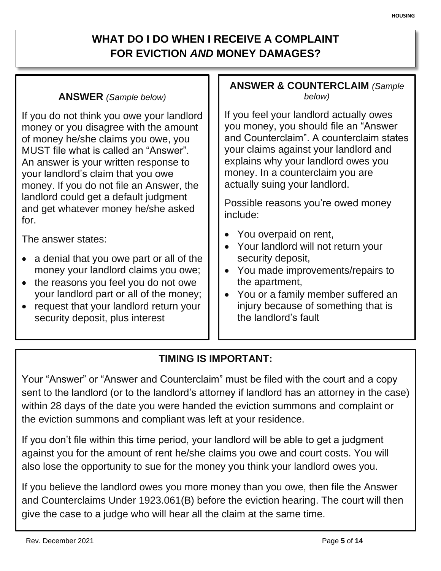## **WHAT DO I DO WHEN I RECEIVE A COMPLAINT FOR EVICTION** *AND* **MONEY DAMAGES?**

#### **ANSWER** *(Sample below)*

If you do not think you owe your landlord money or you disagree with the amount of money he/she claims you owe, you MUST file what is called an "Answer". An answer is your written response to your landlord's claim that you owe money. If you do not file an Answer, the landlord could get a default judgment and get whatever money he/she asked for.

The answer states:

- a denial that you owe part or all of the money your landlord claims you owe;
- the reasons you feel you do not owe your landlord part or all of the money;
- request that your landlord return your security deposit, plus interest

#### **ANSWER & COUNTERCLAIM** *(Sample below)*

If you feel your landlord actually owes you money, you should file an "Answer and Counterclaim". A counterclaim states your claims against your landlord and explains why your landlord owes you money. In a counterclaim you are actually suing your landlord.

Possible reasons you're owed money include:

- You overpaid on rent,
- Your landlord will not return your security deposit,
- You made improvements/repairs to the apartment,
- You or a family member suffered an injury because of something that is the landlord's fault

### **TIMING IS IMPORTANT:**

Your "Answer" or "Answer and Counterclaim" must be filed with the court and a copy sent to the landlord (or to the landlord's attorney if landlord has an attorney in the case) within 28 days of the date you were handed the eviction summons and complaint or the eviction summons and compliant was left at your residence.

If you don't file within this time period, your landlord will be able to get a judgment against you for the amount of rent he/she claims you owe and court costs. You will also lose the opportunity to sue for the money you think your landlord owes you.

If you believe the landlord owes you more money than you owe, then file the Answer and Counterclaims Under 1923.061(B) before the eviction hearing. The court will then give the case to a judge who will hear all the claim at the same time.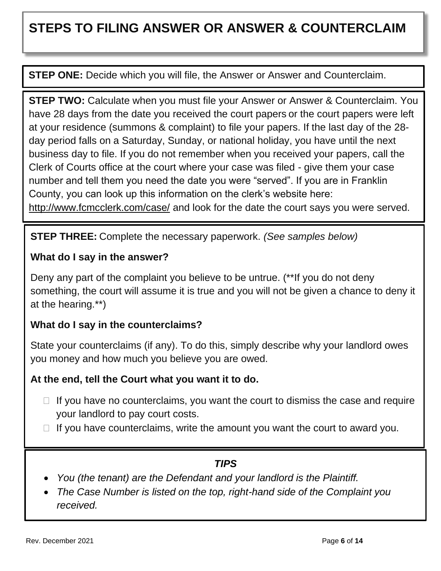# **STEPS TO FILING ANSWER OR ANSWER & COUNTERCLAIM**

**STEP ONE:** Decide which you will file, the Answer or Answer and Counterclaim.

**STEP TWO:** Calculate when you must file your Answer or Answer & Counterclaim. You have 28 days from the date you received the court papers or the court papers were left at your residence (summons & complaint) to file your papers. If the last day of the 28 day period falls on a Saturday, Sunday, or national holiday, you have until the next business day to file. If you do not remember when you received your papers, call the Clerk of Courts office at the court where your case was filed - give them your case number and tell them you need the date you were "served". If you are in Franklin County, you can look up this information on the clerk's website here: <http://www.fcmcclerk.com/case/> and look for the date the court says you were served.

**STEP THREE:** Complete the necessary paperwork. *(See samples below)*

#### **What do I say in the answer?**

Deny any part of the complaint you believe to be untrue. (\*\*If you do not deny something, the court will assume it is true and you will not be given a chance to deny it at the hearing.\*\*)

#### **What do I say in the counterclaims?**

State your counterclaims (if any). To do this, simply describe why your landlord owes you money and how much you believe you are owed.

#### **At the end, tell the Court what you want it to do.**

- $\Box$  If you have no counterclaims, you want the court to dismiss the case and require your landlord to pay court costs.
- If you have counterclaims, write the amount you want the court to award you.

### *TIPS*

- *You (the tenant) are the Defendant and your landlord is the Plaintiff.*
- *The Case Number is listed on the top, right-hand side of the Complaint you received.*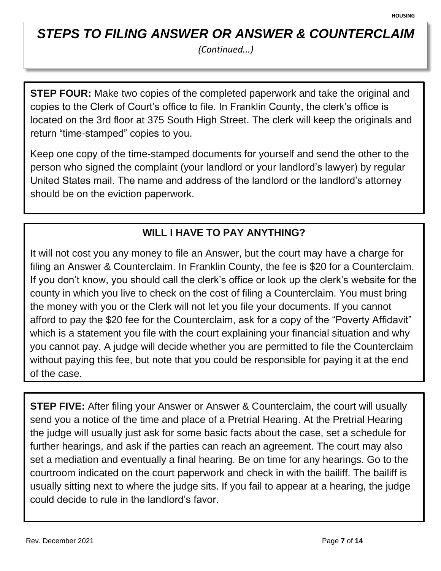## *STEPS TO FILING ANSWER OR ANSWER & COUNTERCLAIM*

*(Continued...)*

**STEP FOUR:** Make two copies of the completed paperwork and take the original and copies to the Clerk of Court's office to file. In Franklin County, the clerk's office is located on the 3rd floor at 375 South High Street. The clerk will keep the originals and return "time-stamped" copies to you.

Keep one copy of the time-stamped documents for yourself and send the other to the person who signed the complaint (your landlord or your landlord's lawyer) by regular United States mail. The name and address of the landlord or the landlord's attorney should be on the eviction paperwork.

## **WILL I HAVE TO PAY ANYTHING?**

It will not cost you any money to file an Answer, but the court may have a charge for filing an Answer & Counterclaim. In Franklin County, the fee is \$20 for a Counterclaim. If you don't know, you should call the clerk's office or look up the clerk's website for the county in which you live to check on the cost of filing a Counterclaim. You must bring the money with you or the Clerk will not let you file your documents. If you cannot afford to pay the \$20 fee for the Counterclaim, ask for a copy of the "Poverty Affidavit" which is a statement you file with the court explaining your financial situation and why you cannot pay. A judge will decide whether you are permitted to file the Counterclaim without paying this fee, but note that you could be responsible for paying it at the end of the case.

**STEP FIVE:** After filing your Answer or Answer & Counterclaim, the court will usually send you a notice of the time and place of a Pretrial Hearing. At the Pretrial Hearing the judge will usually just ask for some basic facts about the case, set a schedule for further hearings, and ask if the parties can reach an agreement. The court may also set a mediation and eventually a final hearing. Be on time for any hearings. Go to the courtroom indicated on the court paperwork and check in with the bailiff. The bailiff is usually sitting next to where the judge sits. If you fail to appear at a hearing, the judge could decide to rule in the landlord's favor.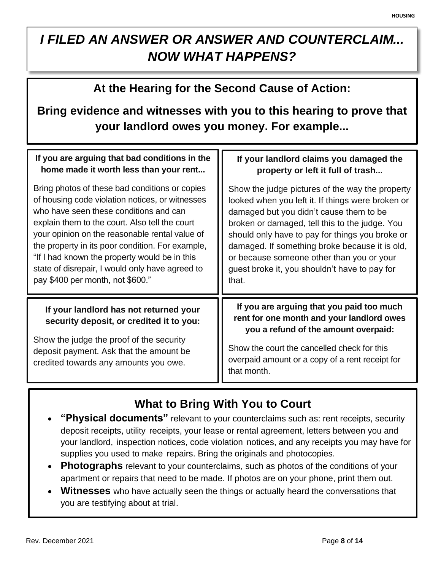# *I FILED AN ANSWER OR ANSWER AND COUNTERCLAIM... NOW WHAT HAPPENS?*

## **At the Hearing for the Second Cause of Action:**

## **Bring evidence and witnesses with you to this hearing to prove that your landlord owes you money. For example...**

| If you are arguing that bad conditions in the                                                                                                                                                                      | If your landlord claims you damaged the                                                                                                                                                                                                         |
|--------------------------------------------------------------------------------------------------------------------------------------------------------------------------------------------------------------------|-------------------------------------------------------------------------------------------------------------------------------------------------------------------------------------------------------------------------------------------------|
| home made it worth less than your rent                                                                                                                                                                             | property or left it full of trash                                                                                                                                                                                                               |
| Bring photos of these bad conditions or copies                                                                                                                                                                     | Show the judge pictures of the way the property                                                                                                                                                                                                 |
| of housing code violation notices, or witnesses                                                                                                                                                                    | looked when you left it. If things were broken or                                                                                                                                                                                               |
| who have seen these conditions and can                                                                                                                                                                             | damaged but you didn't cause them to be                                                                                                                                                                                                         |
| explain them to the court. Also tell the court                                                                                                                                                                     | broken or damaged, tell this to the judge. You                                                                                                                                                                                                  |
| your opinion on the reasonable rental value of                                                                                                                                                                     | should only have to pay for things you broke or                                                                                                                                                                                                 |
| the property in its poor condition. For example,                                                                                                                                                                   | damaged. If something broke because it is old,                                                                                                                                                                                                  |
| "If I had known the property would be in this                                                                                                                                                                      | or because someone other than you or your                                                                                                                                                                                                       |
| state of disrepair, I would only have agreed to                                                                                                                                                                    | guest broke it, you shouldn't have to pay for                                                                                                                                                                                                   |
| pay \$400 per month, not \$600."                                                                                                                                                                                   | that.                                                                                                                                                                                                                                           |
| If your landlord has not returned your<br>security deposit, or credited it to you:<br>Show the judge the proof of the security<br>deposit payment. Ask that the amount be<br>credited towards any amounts you owe. | If you are arguing that you paid too much<br>rent for one month and your landlord owes<br>you a refund of the amount overpaid:<br>Show the court the cancelled check for this<br>overpaid amount or a copy of a rent receipt for<br>that month. |

# **What to Bring With You to Court**

- **"Physical documents"** relevant to your counterclaims such as: rent receipts, security deposit receipts, utility receipts, your lease or rental agreement, letters between you and your landlord, inspection notices, code violation notices, and any receipts you may have for supplies you used to make repairs. Bring the originals and photocopies.
- **Photographs** relevant to your counterclaims, such as photos of the conditions of your apartment or repairs that need to be made. If photos are on your phone, print them out.
- **Witnesses** who have actually seen the things or actually heard the conversations that you are testifying about at trial.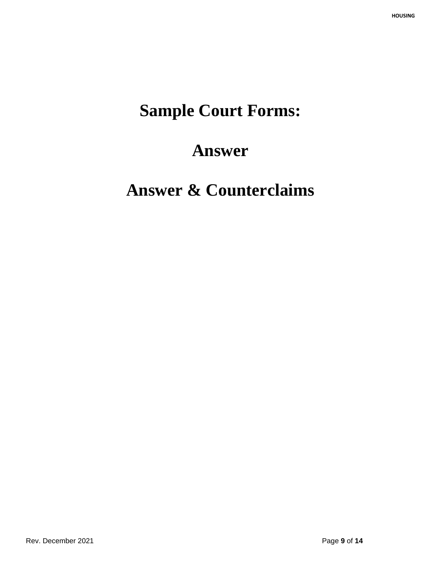# **Sample Court Forms:**

# **Answer**

# **Answer & Counterclaims**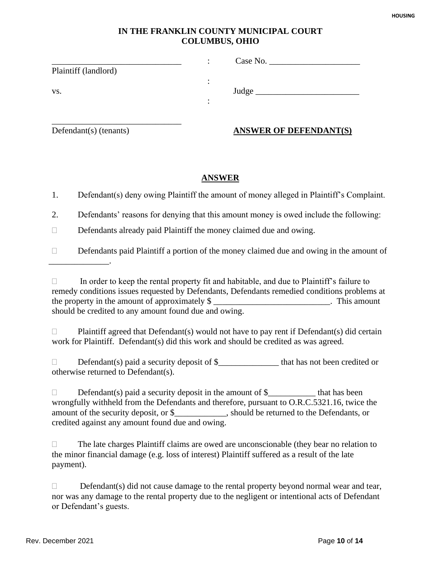#### **IN THE FRANKLIN COUNTY MUNICIPAL COURT COLUMBUS, OHIO**

|                      | ٠<br>$\cdot$ | Case No. |
|----------------------|--------------|----------|
| Plaintiff (landlord) |              |          |
|                      | ٠<br>٠       |          |
| VS.                  |              | Judge    |
|                      | ٠<br>٠       |          |
|                      |              |          |

\_\_\_\_\_\_\_\_\_\_\_\_\_\_.

\_\_\_\_\_\_\_\_\_\_\_\_\_\_\_\_\_\_\_\_\_\_\_\_\_\_\_\_\_\_

#### Defendant(s) (tenants) **ANSWER OF DEFENDANT(S)**

#### **ANSWER**

1. Defendant(s) deny owing Plaintiff the amount of money alleged in Plaintiff's Complaint.

2. Defendants' reasons for denying that this amount money is owed include the following:

 $\Box$  Defendants already paid Plaintiff the money claimed due and owing.

 $\Box$  Defendants paid Plaintiff a portion of the money claimed due and owing in the amount of

 $\Box$  Plaintiff agreed that Defendant(s) would not have to pay rent if Defendant(s) did certain work for Plaintiff. Defendant(s) did this work and should be credited as was agreed.

 $\Box$  Defendant(s) paid a security deposit of \$  $\Box$  that has not been credited or otherwise returned to Defendant(s).

 $\Box$  Defendant(s) paid a security deposit in the amount of  $\$\underline{\hspace{1cm}}$  that has been wrongfully withheld from the Defendants and therefore, pursuant to O.R.C.5321.16, twice the amount of the security deposit, or \$\_\_\_\_\_\_\_\_\_\_\_\_, should be returned to the Defendants, or credited against any amount found due and owing.

 $\Box$  The late charges Plaintiff claims are owed are unconscionable (they bear no relation to the minor financial damage (e.g. loss of interest) Plaintiff suffered as a result of the late payment).

 $\Box$  In order to keep the rental property fit and habitable, and due to Plaintiff's failure to remedy conditions issues requested by Defendants, Defendants remedied conditions problems at the property in the amount of approximately \$ should be credited to any amount found due and owing.

 $\Box$  Defendant(s) did not cause damage to the rental property beyond normal wear and tear, nor was any damage to the rental property due to the negligent or intentional acts of Defendant or Defendant's guests.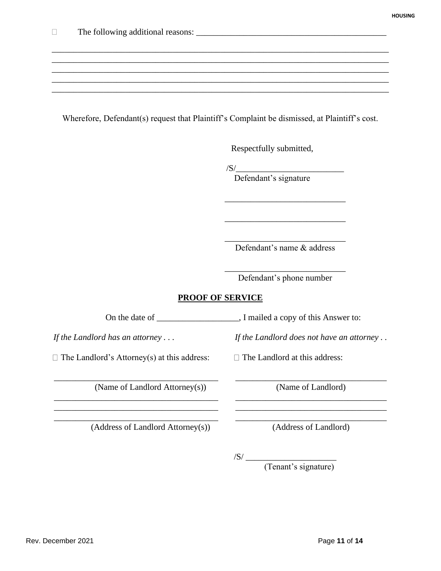#### Wherefore, Defendant(s) request that Plaintiff's Complaint be dismissed, at Plaintiff's cost.

\_\_\_\_\_\_\_\_\_\_\_\_\_\_\_\_\_\_\_\_\_\_\_\_\_\_\_\_\_\_\_\_\_\_\_\_\_\_\_\_\_\_\_\_\_\_\_\_\_\_\_\_\_\_\_\_\_\_\_\_\_\_\_\_\_\_\_\_\_\_\_\_\_\_\_\_\_\_ \_\_\_\_\_\_\_\_\_\_\_\_\_\_\_\_\_\_\_\_\_\_\_\_\_\_\_\_\_\_\_\_\_\_\_\_\_\_\_\_\_\_\_\_\_\_\_\_\_\_\_\_\_\_\_\_\_\_\_\_\_\_\_\_\_\_\_\_\_\_\_\_\_\_\_\_\_\_ \_\_\_\_\_\_\_\_\_\_\_\_\_\_\_\_\_\_\_\_\_\_\_\_\_\_\_\_\_\_\_\_\_\_\_\_\_\_\_\_\_\_\_\_\_\_\_\_\_\_\_\_\_\_\_\_\_\_\_\_\_\_\_\_\_\_\_\_\_\_\_\_\_\_\_\_\_\_ \_\_\_\_\_\_\_\_\_\_\_\_\_\_\_\_\_\_\_\_\_\_\_\_\_\_\_\_\_\_\_\_\_\_\_\_\_\_\_\_\_\_\_\_\_\_\_\_\_\_\_\_\_\_\_\_\_\_\_\_\_\_\_\_\_\_\_\_\_\_\_\_\_\_\_\_\_\_ \_\_\_\_\_\_\_\_\_\_\_\_\_\_\_\_\_\_\_\_\_\_\_\_\_\_\_\_\_\_\_\_\_\_\_\_\_\_\_\_\_\_\_\_\_\_\_\_\_\_\_\_\_\_\_\_\_\_\_\_\_\_\_\_\_\_\_\_\_\_\_\_\_\_\_\_\_\_

Respectfully submitted,

/S/\_\_\_\_\_\_\_\_\_\_\_\_\_\_\_\_\_\_\_\_\_\_\_\_\_

Defendant's signature

\_\_\_\_\_\_\_\_\_\_\_\_\_\_\_\_\_\_\_\_\_\_\_\_\_\_\_\_ Defendant's name & address

\_\_\_\_\_\_\_\_\_\_\_\_\_\_\_\_\_\_\_\_\_\_\_\_\_\_\_\_

\_\_\_\_\_\_\_\_\_\_\_\_\_\_\_\_\_\_\_\_\_\_\_\_\_\_\_\_

\_\_\_\_\_\_\_\_\_\_\_\_\_\_\_\_\_\_\_\_\_\_\_\_\_\_\_\_ Defendant's phone number

#### **PROOF OF SERVICE**

\_\_\_\_\_\_\_\_\_\_\_\_\_\_\_\_\_\_\_\_\_\_\_\_\_\_\_\_\_\_\_\_\_\_\_\_\_\_ \_\_\_\_\_\_\_\_\_\_\_\_\_\_\_\_\_\_\_\_\_\_\_\_\_\_\_\_\_\_\_\_\_\_\_

\_\_\_\_\_\_\_\_\_\_\_\_\_\_\_\_\_\_\_\_\_\_\_\_\_\_\_\_\_\_\_\_\_\_\_\_\_\_ \_\_\_\_\_\_\_\_\_\_\_\_\_\_\_\_\_\_\_\_\_\_\_\_\_\_\_\_\_\_\_\_\_\_\_

\_\_\_\_\_\_\_\_\_\_\_\_\_\_\_\_\_\_\_\_\_\_\_\_\_\_\_\_\_\_\_\_\_\_\_\_\_\_ \_\_\_\_\_\_\_\_\_\_\_\_\_\_\_\_\_\_\_\_\_\_\_\_\_\_\_\_\_\_\_\_\_\_\_

 $\Box$  The Landlord's Attorney(s) at this address:  $\Box$  The Landlord at this address:

(Name of Landlord Attorney(s)) (Name of Landlord)

(Address of Landlord Attorney(s)) (Address of Landlord)

On the date of \_\_\_\_\_\_\_\_\_\_\_\_\_\_\_\_\_, I mailed a copy of this Answer to:

*If the Landlord has an attorney . . . If the Landlord does not have an attorney . .*

 $\sqrt{S}/\_\_$ 

(Tenant's signature)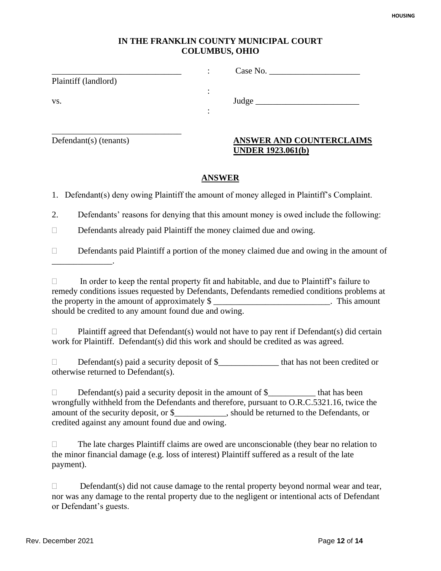#### **IN THE FRANKLIN COUNTY MUNICIPAL COURT COLUMBUS, OHIO**

|                      | Case No. $\_\_$ |  |
|----------------------|-----------------|--|
| Plaintiff (landlord) |                 |  |
|                      |                 |  |
| VS.                  | Judge           |  |
|                      |                 |  |
|                      |                 |  |
|                      |                 |  |

#### Defendant(s) (tenants) **ANSWER AND COUNTERCLAIMS UNDER 1923.061(b)**

#### **ANSWER**

1. Defendant(s) deny owing Plaintiff the amount of money alleged in Plaintiff's Complaint.

2. Defendants' reasons for denying that this amount money is owed include the following:

 $\Box$  Defendants already paid Plaintiff the money claimed due and owing.

 $\Box$  Defendants paid Plaintiff a portion of the money claimed due and owing in the amount of \_\_\_\_\_\_\_\_\_\_\_\_\_\_.

 $\Box$  In order to keep the rental property fit and habitable, and due to Plaintiff's failure to remedy conditions issues requested by Defendants, Defendants remedied conditions problems at the property in the amount of approximately \$ should be credited to any amount found due and owing.

 $\Box$  Plaintiff agreed that Defendant(s) would not have to pay rent if Defendant(s) did certain work for Plaintiff. Defendant(s) did this work and should be credited as was agreed.

 $\Box$  Defendant(s) paid a security deposit of \$  $\Box$  that has not been credited or otherwise returned to Defendant(s).

 $\Box$  Defendant(s) paid a security deposit in the amount of  $\$\underline{\hspace{1cm}}$  that has been wrongfully withheld from the Defendants and therefore, pursuant to O.R.C.5321.16, twice the amount of the security deposit, or \$\_\_\_\_\_\_\_\_\_\_\_\_, should be returned to the Defendants, or credited against any amount found due and owing.

 $\Box$  The late charges Plaintiff claims are owed are unconscionable (they bear no relation to the minor financial damage (e.g. loss of interest) Plaintiff suffered as a result of the late payment).

 $\Box$  Defendant(s) did not cause damage to the rental property beyond normal wear and tear, nor was any damage to the rental property due to the negligent or intentional acts of Defendant or Defendant's guests.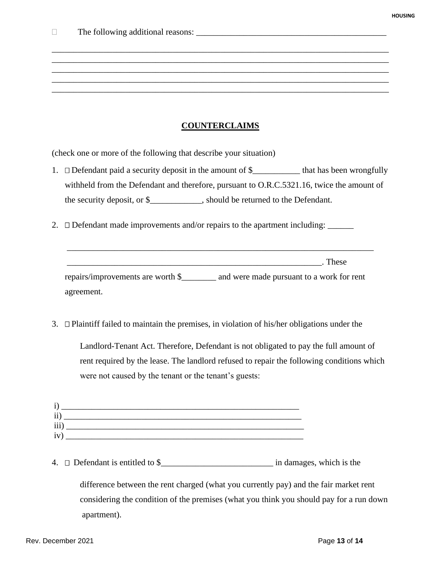#### **COUNTERCLAIMS**

\_\_\_\_\_\_\_\_\_\_\_\_\_\_\_\_\_\_\_\_\_\_\_\_\_\_\_\_\_\_\_\_\_\_\_\_\_\_\_\_\_\_\_\_\_\_\_\_\_\_\_\_\_\_\_\_\_\_\_\_\_\_\_\_\_\_\_\_\_\_\_\_\_\_\_\_\_\_ \_\_\_\_\_\_\_\_\_\_\_\_\_\_\_\_\_\_\_\_\_\_\_\_\_\_\_\_\_\_\_\_\_\_\_\_\_\_\_\_\_\_\_\_\_\_\_\_\_\_\_\_\_\_\_\_\_\_\_\_\_\_\_\_\_\_\_\_\_\_\_\_\_\_\_\_\_\_ \_\_\_\_\_\_\_\_\_\_\_\_\_\_\_\_\_\_\_\_\_\_\_\_\_\_\_\_\_\_\_\_\_\_\_\_\_\_\_\_\_\_\_\_\_\_\_\_\_\_\_\_\_\_\_\_\_\_\_\_\_\_\_\_\_\_\_\_\_\_\_\_\_\_\_\_\_\_ \_\_\_\_\_\_\_\_\_\_\_\_\_\_\_\_\_\_\_\_\_\_\_\_\_\_\_\_\_\_\_\_\_\_\_\_\_\_\_\_\_\_\_\_\_\_\_\_\_\_\_\_\_\_\_\_\_\_\_\_\_\_\_\_\_\_\_\_\_\_\_\_\_\_\_\_\_\_ \_\_\_\_\_\_\_\_\_\_\_\_\_\_\_\_\_\_\_\_\_\_\_\_\_\_\_\_\_\_\_\_\_\_\_\_\_\_\_\_\_\_\_\_\_\_\_\_\_\_\_\_\_\_\_\_\_\_\_\_\_\_\_\_\_\_\_\_\_\_\_\_\_\_\_\_\_\_

(check one or more of the following that describe your situation)

- 1.  $\Box$  Defendant paid a security deposit in the amount of \$\_\_\_\_\_\_\_\_\_\_\_\_\_\_ that has been wrongfully withheld from the Defendant and therefore, pursuant to O.R.C.5321.16, twice the amount of the security deposit, or \$\_\_\_\_\_\_\_\_\_\_\_\_, should be returned to the Defendant.
- 2.  $\square$  Defendant made improvements and/or repairs to the apartment including:  $\_\_$

 $\blacksquare$  These

repairs/improvements are worth \$\_\_\_\_\_\_\_\_ and were made pursuant to a work for rent agreement.

\_\_\_\_\_\_\_\_\_\_\_\_\_\_\_\_\_\_\_\_\_\_\_\_\_\_\_\_\_\_\_\_\_\_\_\_\_\_\_\_\_\_\_\_\_\_\_\_\_\_\_\_\_\_\_\_\_\_\_\_\_\_\_\_\_\_\_\_\_\_\_

3.  $\Box$  Plaintiff failed to maintain the premises, in violation of his/her obligations under the

Landlord-Tenant Act. Therefore, Defendant is not obligated to pay the full amount of rent required by the lease. The landlord refused to repair the following conditions which were not caused by the tenant or the tenant's guests:

| $\mathbf{I}$<br>л   |  |
|---------------------|--|
| $\ddot{\mathbf{i}}$ |  |
| iii)                |  |
| $\bullet$<br>1V     |  |
|                     |  |

4.  $\Box$  Defendant is entitled to  $\$\underline{\hspace{1cm}}\underline{\hspace{1cm}}\underline{\hspace{1cm}}\underline{\hspace{1cm}}}$  in damages, which is the

difference between the rent charged (what you currently pay) and the fair market rent considering the condition of the premises (what you think you should pay for a run down apartment).